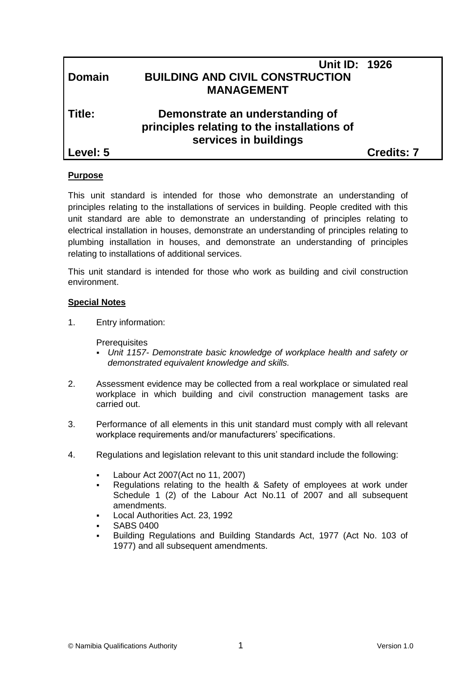| <b>Domain</b> | <b>Unit ID: 1926</b><br><b>BUILDING AND CIVIL CONSTRUCTION</b><br><b>MANAGEMENT</b>                     |                   |
|---------------|---------------------------------------------------------------------------------------------------------|-------------------|
| Title:        | Demonstrate an understanding of<br>principles relating to the installations of<br>services in buildings |                   |
| Level: 5      |                                                                                                         | <b>Credits: 7</b> |
|               |                                                                                                         |                   |

#### **Purpose**

This unit standard is intended for those who demonstrate an understanding of principles relating to the installations of services in building. People credited with this unit standard are able to demonstrate an understanding of principles relating to electrical installation in houses, demonstrate an understanding of principles relating to plumbing installation in houses, and demonstrate an understanding of principles relating to installations of additional services.

This unit standard is intended for those who work as building and civil construction environment.

#### **Special Notes**

1. Entry information:

**Prerequisites** 

- *Unit 1157- Demonstrate basic knowledge of workplace health and safety or demonstrated equivalent knowledge and skills.*
- 2. Assessment evidence may be collected from a real workplace or simulated real workplace in which building and civil construction management tasks are carried out.
- 3. Performance of all elements in this unit standard must comply with all relevant workplace requirements and/or manufacturers' specifications.
- 4. Regulations and legislation relevant to this unit standard include the following:
	- Labour Act 2007(Act no 11, 2007)
	- Regulations relating to the health & Safety of employees at work under Schedule 1 (2) of the Labour Act No.11 of 2007 and all subsequent amendments.
	- Local Authorities Act. 23, 1992
	- SABS 0400
	- Building Regulations and Building Standards Act, 1977 (Act No. 103 of 1977) and all subsequent amendments.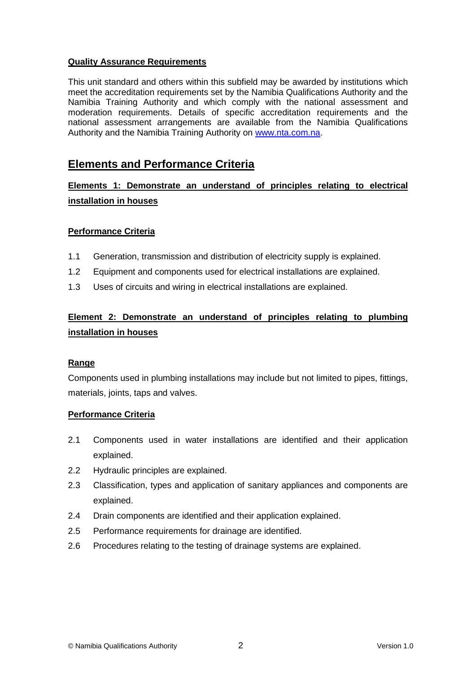#### **Quality Assurance Requirements**

This unit standard and others within this subfield may be awarded by institutions which meet the accreditation requirements set by the Namibia Qualifications Authority and the Namibia Training Authority and which comply with the national assessment and moderation requirements. Details of specific accreditation requirements and the national assessment arrangements are available from the Namibia Qualifications Authority and the Namibia Training Authority on [www.nta.com.na.](http://www.nta.com.na/)

## **Elements and Performance Criteria**

**Elements 1: Demonstrate an understand of principles relating to electrical installation in houses**

#### **Performance Criteria**

- 1.1 Generation, transmission and distribution of electricity supply is explained.
- 1.2 Equipment and components used for electrical installations are explained.
- 1.3 Uses of circuits and wiring in electrical installations are explained.

## **Element 2: Demonstrate an understand of principles relating to plumbing installation in houses**

#### **Range**

Components used in plumbing installations may include but not limited to pipes, fittings, materials, joints, taps and valves.

#### **Performance Criteria**

- 2.1 Components used in water installations are identified and their application explained.
- 2.2 Hydraulic principles are explained.
- 2.3 Classification, types and application of sanitary appliances and components are explained.
- 2.4 Drain components are identified and their application explained.
- 2.5 Performance requirements for drainage are identified.
- 2.6 Procedures relating to the testing of drainage systems are explained.